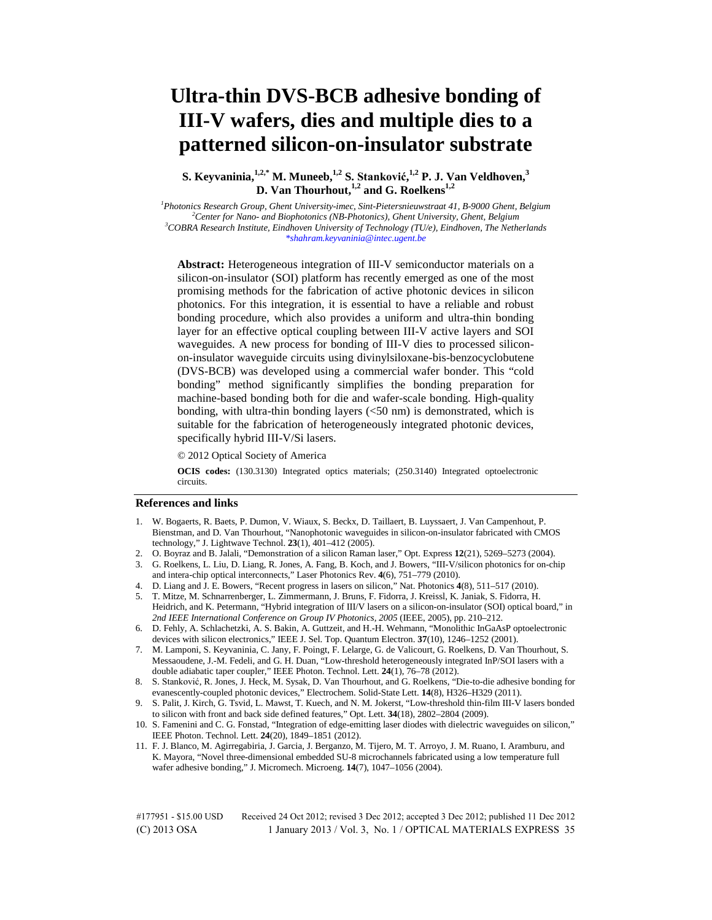# **Ultra-thin DVS-BCB adhesive bonding of III-V wafers, dies and multiple dies to a patterned silicon-on-insulator substrate**

**S. Keyvaninia, 1,2,\* M. Muneeb, 1,2 S. Stanković, 1,2 P. J. Van Veldhoven, 3 D. Van Thourhout, 1,2 and G. Roelkens1,2**

 *Photonics Research Group, Ghent University-imec, Sint-Pietersnieuwstraat 41, B-9000 Ghent, Belgium Center for Nano- and Biophotonics (NB-Photonics), Ghent University, Ghent, Belgium COBRA Research Institute, Eindhoven University of Technology (TU/e), Eindhoven, The Netherlands \*shahram.keyvaninia@intec.ugent.be*

**Abstract:** Heterogeneous integration of III-V semiconductor materials on a silicon-on-insulator (SOI) platform has recently emerged as one of the most promising methods for the fabrication of active photonic devices in silicon photonics. For this integration, it is essential to have a reliable and robust bonding procedure, which also provides a uniform and ultra-thin bonding layer for an effective optical coupling between III-V active layers and SOI waveguides. A new process for bonding of III-V dies to processed siliconon-insulator waveguide circuits using divinylsiloxane-bis-benzocyclobutene (DVS-BCB) was developed using a commercial wafer bonder. This "cold bonding" method significantly simplifies the bonding preparation for machine-based bonding both for die and wafer-scale bonding. High-quality bonding, with ultra-thin bonding layers (<50 nm) is demonstrated, which is suitable for the fabrication of heterogeneously integrated photonic devices, specifically hybrid III-V/Si lasers.

© 2012 Optical Society of America

**OCIS codes:** (130.3130) Integrated optics materials; (250.3140) Integrated optoelectronic circuits.

#### **References and links**

- 1. W. Bogaerts, R. Baets, P. Dumon, V. Wiaux, S. Beckx, D. Taillaert, B. Luyssaert, J. Van Campenhout, P. Bienstman, and D. Van Thourhout, "Nanophotonic waveguides in silicon-on-insulator fabricated with CMOS technology," J. Lightwave Technol. **23**(1), 401–412 (2005).
- 2. O. Boyraz and B. Jalali, "Demonstration of a silicon Raman laser," Opt. Express **12**(21), 5269–5273 (2004).
- 3. G. Roelkens, L. Liu, D. Liang, R. Jones, A. Fang, B. Koch, and J. Bowers, "III-V/silicon photonics for on-chip and intera-chip optical interconnects," Laser Photonics Rev. **4**(6), 751–779 (2010).
- 4. D. Liang and J. E. Bowers, "Recent progress in lasers on silicon," Nat. Photonics **4**(8), 511–517 (2010).
- 5. T. Mitze, M. Schnarrenberger, L. Zimmermann, J. Bruns, F. Fidorra, J. Kreissl, K. Janiak, S. Fidorra, H. Heidrich, and K. Petermann, "Hybrid integration of III/V lasers on a silicon-on-insulator (SOI) optical board," in *2nd IEEE International Conference on Group IV Photonics, 2005* (IEEE, 2005), pp. 210–212.
- 6. D. Fehly, A. Schlachetzki, A. S. Bakin, A. Guttzeit, and H.-H. Wehmann, "Monolithic InGaAsP optoelectronic devices with silicon electronics," IEEE J. Sel. Top. Quantum Electron. **37**(10), 1246–1252 (2001).
- 7. M. Lamponi, S. Keyvaninia, C. Jany, F. Poingt, F. Lelarge, G. de Valicourt, G. Roelkens, D. Van Thourhout, S. Messaoudene, J.-M. Fedeli, and G. H. Duan, "Low-threshold heterogeneously integrated InP/SOI lasers with a double adiabatic taper coupler," IEEE Photon. Technol. Lett. **24**(1), 76–78 (2012).
- 8. S. Stanković, R. Jones, J. Heck, M. Sysak, D. Van Thourhout, and G. Roelkens, "Die-to-die adhesive bonding for evanescently-coupled photonic devices," Electrochem. Solid-State Lett. **14**(8), H326–H329 (2011).
- 9. S. Palit, J. Kirch, G. Tsvid, L. Mawst, T. Kuech, and N. M. Jokerst, "Low-threshold thin-film III-V lasers bonded to silicon with front and back side defined features," Opt. Lett. **34**(18), 2802–2804 (2009).
- 10. S. Famenini and C. G. Fonstad, "Integration of edge-emitting laser diodes with dielectric waveguides on silicon," IEEE Photon. Technol. Lett. **24**(20), 1849–1851 (2012).
- 11. F. J. Blanco, M. Agirregabiria, J. Garcia, J. Berganzo, M. Tijero, M. T. Arroyo, J. M. Ruano, I. Aramburu, and K. Mayora, "Novel three-dimensional embedded SU-8 microchannels fabricated using a low temperature full wafer adhesive bonding," J. Micromech. Microeng. **14**(7), 1047–1056 (2004).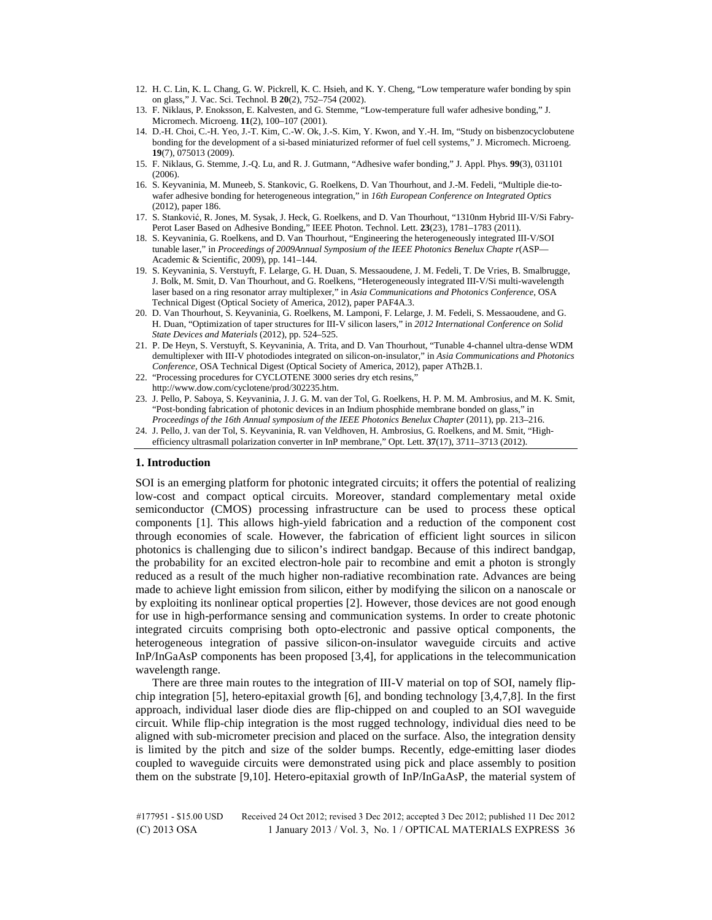- 12. H. C. Lin, K. L. Chang, G. W. Pickrell, K. C. Hsieh, and K. Y. Cheng, "Low temperature wafer bonding by spin on glass," J. Vac. Sci. Technol. B **20**(2), 752–754 (2002).
- 13. F. Niklaus, P. Enoksson, E. Kalvesten, and G. Stemme, "Low-temperature full wafer adhesive bonding," J. Micromech. Microeng. **11**(2), 100–107 (2001).
- 14. D.-H. Choi, C.-H. Yeo, J.-T. Kim, C.-W. Ok, J.-S. Kim, Y. Kwon, and Y.-H. Im, "Study on bisbenzocyclobutene bonding for the development of a si-based miniaturized reformer of fuel cell systems," J. Micromech. Microeng. **19**(7), 075013 (2009).
- 15. F. Niklaus, G. Stemme, J.-Q. Lu, and R. J. Gutmann, "Adhesive wafer bonding," J. Appl. Phys. **99**(3), 031101 (2006).
- 16. S. Keyvaninia, M. Muneeb, S. Stankovic, G. Roelkens, D. Van Thourhout, and J.-M. Fedeli, "Multiple die-towafer adhesive bonding for heterogeneous integration," in *16th European Conference on Integrated Optics* (2012), paper 186.
- 17. S. Stanković, R. Jones, M. Sysak, J. Heck, G. Roelkens, and D. Van Thourhout, "1310nm Hybrid III-V/Si Fabry-Perot Laser Based on Adhesive Bonding," IEEE Photon. Technol. Lett. **23**(23), 1781–1783 (2011).
- 18. S. Keyvaninia, G. Roelkens, and D. Van Thourhout, "Engineering the heterogeneously integrated III-V/SOI tunable laser," in *Proceedings of 2009Annual Symposium of the IEEE Photonics Benelux Chapte r*(ASP— Academic & Scientific, 2009), pp. 141–144.
- 19. S. Keyvaninia, S. Verstuyft, F. Lelarge, G. H. Duan, S. Messaoudene, J. M. Fedeli, T. De Vries, B. Smalbrugge, J. Bolk, M. Smit, D. Van Thourhout, and G. Roelkens, "Heterogeneously integrated III-V/Si multi-wavelength laser based on a ring resonator array multiplexer," in *Asia Communications and Photonics Conference*, OSA Technical Digest (Optical Society of America, 2012), paper PAF4A.3.
- 20. D. Van Thourhout, S. Keyvaninia, G. Roelkens, M. Lamponi, F. Lelarge, J. M. Fedeli, S. Messaoudene, and G. H. Duan, "Optimization of taper structures for III-V silicon lasers," in *2012 International Conference on Solid State Devices and Materials* (2012), pp. 524–525.
- 21. P. De Heyn, S. Verstuyft, S. Keyvaninia, A. Trita, and D. Van Thourhout, "Tunable 4-channel ultra-dense WDM demultiplexer with III-V photodiodes integrated on silicon-on-insulator," in *Asia Communications and Photonics Conference*, OSA Technical Digest (Optical Society of America, 2012), paper ATh2B.1.
- 22. "Processing procedures for CYCLOTENE 3000 series dry etch resins,"
- http://www.dow.com/cyclotene/prod/302235.htm.
- 23. J. Pello, P. Saboya, S. Keyvaninia, J. J. G. M. van der Tol, G. Roelkens, H. P. M. M. Ambrosius, and M. K. Smit, "Post-bonding fabrication of photonic devices in an Indium phosphide membrane bonded on glass," in *Proceedings of the 16th Annual symposium of the IEEE Photonics Benelux Chapter* (2011), pp. 213–216.
- 24. J. Pello, J. van der Tol, S. Keyvaninia, R. van Veldhoven, H. Ambrosius, G. Roelkens, and M. Smit, "Highefficiency ultrasmall polarization converter in InP membrane," Opt. Lett. **37**(17), 3711–3713 (2012).

#### **1. Introduction**

SOI is an emerging platform for photonic integrated circuits; it offers the potential of realizing low-cost and compact optical circuits. Moreover, standard complementary metal oxide semiconductor (CMOS) processing infrastructure can be used to process these optical components [1]. This allows high-yield fabrication and a reduction of the component cost through economies of scale. However, the fabrication of efficient light sources in silicon photonics is challenging due to silicon's indirect bandgap. Because of this indirect bandgap, the probability for an excited electron-hole pair to recombine and emit a photon is strongly reduced as a result of the much higher non-radiative recombination rate. Advances are being made to achieve light emission from silicon, either by modifying the silicon on a nanoscale or by exploiting its nonlinear optical properties [2]. However, those devices are not good enough for use in high-performance sensing and communication systems. In order to create photonic integrated circuits comprising both opto-electronic and passive optical components, the heterogeneous integration of passive silicon-on-insulator waveguide circuits and active InP/InGaAsP components has been proposed [3,4], for applications in the telecommunication wavelength range.

There are three main routes to the integration of III-V material on top of SOI, namely flipchip integration [5], hetero-epitaxial growth [6], and bonding technology [3,4,7,8]. In the first approach, individual laser diode dies are flip-chipped on and coupled to an SOI waveguide circuit. While flip-chip integration is the most rugged technology, individual dies need to be aligned with sub-micrometer precision and placed on the surface. Also, the integration density is limited by the pitch and size of the solder bumps. Recently, edge-emitting laser diodes coupled to waveguide circuits were demonstrated using pick and place assembly to position them on the substrate [9,10]. Hetero-epitaxial growth of InP/InGaAsP, the material system of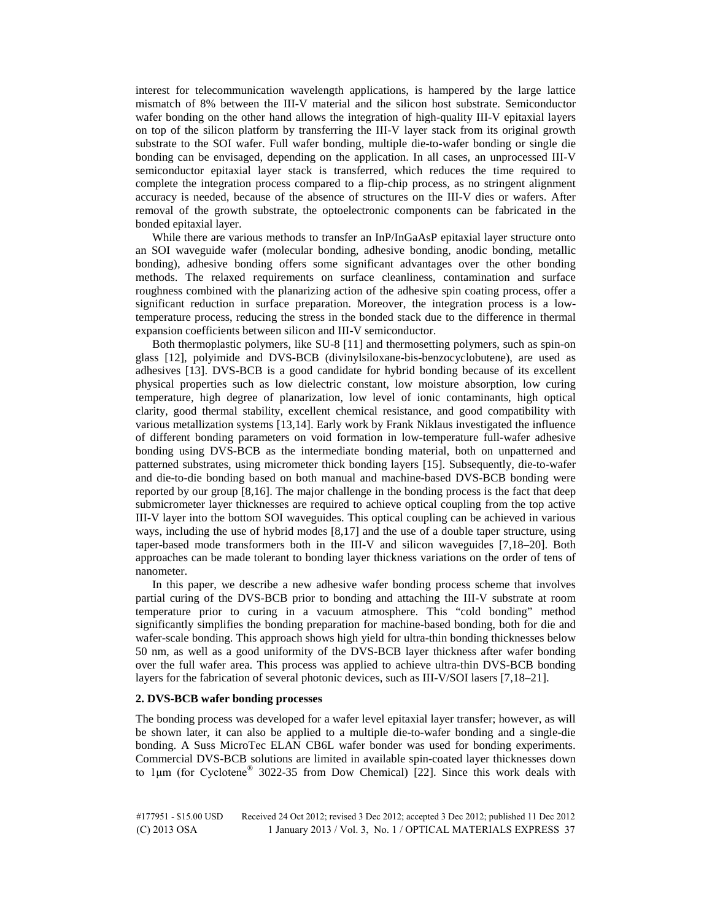interest for telecommunication wavelength applications, is hampered by the large lattice mismatch of 8% between the III-V material and the silicon host substrate. Semiconductor wafer bonding on the other hand allows the integration of high-quality III-V epitaxial layers on top of the silicon platform by transferring the III-V layer stack from its original growth substrate to the SOI wafer. Full wafer bonding, multiple die-to-wafer bonding or single die bonding can be envisaged, depending on the application. In all cases, an unprocessed III-V semiconductor epitaxial layer stack is transferred, which reduces the time required to complete the integration process compared to a flip-chip process, as no stringent alignment accuracy is needed, because of the absence of structures on the III-V dies or wafers. After removal of the growth substrate, the optoelectronic components can be fabricated in the bonded epitaxial layer.

While there are various methods to transfer an InP/InGaAsP epitaxial layer structure onto an SOI waveguide wafer (molecular bonding, adhesive bonding, anodic bonding, metallic bonding), adhesive bonding offers some significant advantages over the other bonding methods. The relaxed requirements on surface cleanliness, contamination and surface roughness combined with the planarizing action of the adhesive spin coating process, offer a significant reduction in surface preparation. Moreover, the integration process is a lowtemperature process, reducing the stress in the bonded stack due to the difference in thermal expansion coefficients between silicon and III-V semiconductor.

Both thermoplastic polymers, like SU-8 [11] and thermosetting polymers, such as spin-on glass [12], polyimide and DVS-BCB (divinylsiloxane-bis-benzocyclobutene), are used as adhesives [13]. DVS-BCB is a good candidate for hybrid bonding because of its excellent physical properties such as low dielectric constant, low moisture absorption, low curing temperature, high degree of planarization, low level of ionic contaminants, high optical clarity, good thermal stability, excellent chemical resistance, and good compatibility with various metallization systems [13,14]. Early work by Frank Niklaus investigated the influence of different bonding parameters on void formation in low-temperature full-wafer adhesive bonding using DVS-BCB as the intermediate bonding material, both on unpatterned and patterned substrates, using micrometer thick bonding layers [15]. Subsequently, die-to-wafer and die-to-die bonding based on both manual and machine-based DVS-BCB bonding were reported by our group [8,16]. The major challenge in the bonding process is the fact that deep submicrometer layer thicknesses are required to achieve optical coupling from the top active III-V layer into the bottom SOI waveguides. This optical coupling can be achieved in various ways, including the use of hybrid modes [8,17] and the use of a double taper structure, using taper-based mode transformers both in the III-V and silicon waveguides [7,18–20]. Both approaches can be made tolerant to bonding layer thickness variations on the order of tens of nanometer.

In this paper, we describe a new adhesive wafer bonding process scheme that involves partial curing of the DVS-BCB prior to bonding and attaching the III-V substrate at room temperature prior to curing in a vacuum atmosphere. This "cold bonding" method significantly simplifies the bonding preparation for machine-based bonding, both for die and wafer-scale bonding. This approach shows high yield for ultra-thin bonding thicknesses below 50 nm, as well as a good uniformity of the DVS-BCB layer thickness after wafer bonding over the full wafer area. This process was applied to achieve ultra-thin DVS-BCB bonding layers for the fabrication of several photonic devices, such as III-V/SOI lasers [7,18–21].

# **2. DVS-BCB wafer bonding processes**

The bonding process was developed for a wafer level epitaxial layer transfer; however, as will be shown later, it can also be applied to a multiple die-to-wafer bonding and a single-die bonding. A Suss MicroTec ELAN CB6L wafer bonder was used for bonding experiments. Commercial DVS-BCB solutions are limited in available spin-coated layer thicknesses down to 1μm (for Cyclotene® 3022-35 from Dow Chemical) [22]. Since this work deals with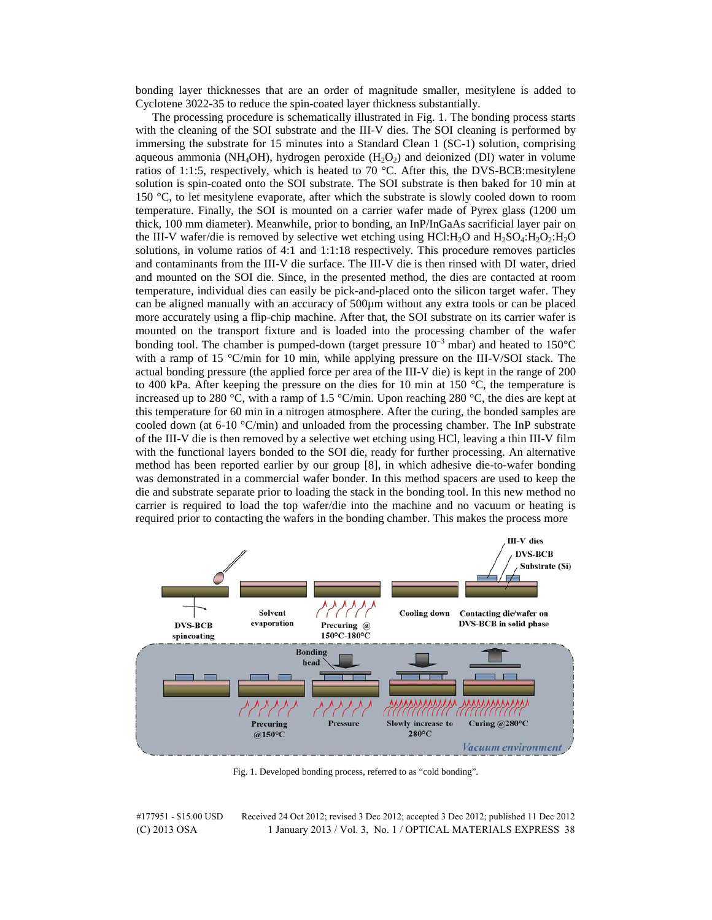bonding layer thicknesses that are an order of magnitude smaller, mesitylene is added to Cyclotene 3022-35 to reduce the spin-coated layer thickness substantially.

The processing procedure is schematically illustrated in Fig. 1. The bonding process starts with the cleaning of the SOI substrate and the III-V dies. The SOI cleaning is performed by immersing the substrate for 15 minutes into a Standard Clean 1 (SC-1) solution, comprising aqueous ammonia (NH<sub>4</sub>OH), hydrogen peroxide  $(H_2O_2)$  and deionized (DI) water in volume ratios of 1:1:5, respectively, which is heated to 70 °C. After this, the DVS-BCB:mesitylene solution is spin-coated onto the SOI substrate. The SOI substrate is then baked for 10 min at 150 °C, to let mesitylene evaporate, after which the substrate is slowly cooled down to room temperature. Finally, the SOI is mounted on a carrier wafer made of Pyrex glass (1200 um thick, 100 mm diameter). Meanwhile, prior to bonding, an InP/InGaAs sacrificial layer pair on the III-V wafer/die is removed by selective wet etching using HCl:H<sub>2</sub>O and H<sub>2</sub>SO<sub>4</sub>:H<sub>2</sub>O<sub>2</sub>:H<sub>2</sub>O solutions, in volume ratios of 4:1 and 1:1:18 respectively. This procedure removes particles and contaminants from the III-V die surface. The III-V die is then rinsed with DI water, dried and mounted on the SOI die. Since, in the presented method, the dies are contacted at room temperature, individual dies can easily be pick-and-placed onto the silicon target wafer. They can be aligned manually with an accuracy of 500µm without any extra tools or can be placed more accurately using a flip-chip machine. After that, the SOI substrate on its carrier wafer is mounted on the transport fixture and is loaded into the processing chamber of the wafer bonding tool. The chamber is pumped-down (target pressure  $10^{-3}$  mbar) and heated to 150°C with a ramp of 15 °C/min for 10 min, while applying pressure on the III-V/SOI stack. The actual bonding pressure (the applied force per area of the III-V die) is kept in the range of 200 to 400 kPa. After keeping the pressure on the dies for 10 min at 150  $^{\circ}$ C, the temperature is increased up to 280 °C, with a ramp of 1.5 °C/min. Upon reaching 280 °C, the dies are kept at this temperature for 60 min in a nitrogen atmosphere. After the curing, the bonded samples are cooled down (at 6-10  $\degree$ C/min) and unloaded from the processing chamber. The InP substrate of the III-V die is then removed by a selective wet etching using HCl, leaving a thin III-V film with the functional layers bonded to the SOI die, ready for further processing. An alternative method has been reported earlier by our group [8], in which adhesive die-to-wafer bonding was demonstrated in a commercial wafer bonder. In this method spacers are used to keep the die and substrate separate prior to loading the stack in the bonding tool. In this new method no carrier is required to load the top wafer/die into the machine and no vacuum or heating is required prior to contacting the wafers in the bonding chamber. This makes the process more



Fig. 1. Developed bonding process, referred to as "cold bonding".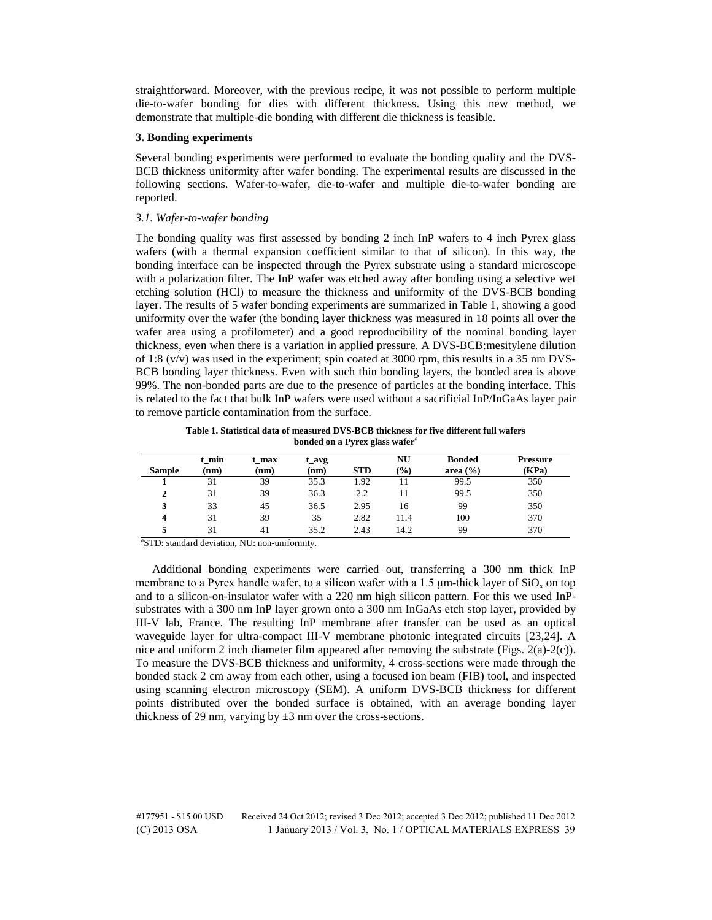straightforward. Moreover, with the previous recipe, it was not possible to perform multiple die-to-wafer bonding for dies with different thickness. Using this new method, we demonstrate that multiple-die bonding with different die thickness is feasible.

## **3. Bonding experiments**

Several bonding experiments were performed to evaluate the bonding quality and the DVS-BCB thickness uniformity after wafer bonding. The experimental results are discussed in the following sections. Wafer-to-wafer, die-to-wafer and multiple die-to-wafer bonding are reported.

# *3.1. Wafer-to-wafer bonding*

The bonding quality was first assessed by bonding 2 inch InP wafers to 4 inch Pyrex glass wafers (with a thermal expansion coefficient similar to that of silicon). In this way, the bonding interface can be inspected through the Pyrex substrate using a standard microscope with a polarization filter. The InP wafer was etched away after bonding using a selective wet etching solution (HCl) to measure the thickness and uniformity of the DVS-BCB bonding layer. The results of 5 wafer bonding experiments are summarized in Table 1, showing a good uniformity over the wafer (the bonding layer thickness was measured in 18 points all over the wafer area using a profilometer) and a good reproducibility of the nominal bonding layer thickness, even when there is a variation in applied pressure. A DVS-BCB:mesitylene dilution of 1:8  $(v/v)$  was used in the experiment; spin coated at 3000 rpm, this results in a 35 nm DVS-BCB bonding layer thickness. Even with such thin bonding layers, the bonded area is above 99%. The non-bonded parts are due to the presence of particles at the bonding interface. This is related to the fact that bulk InP wafers were used without a sacrificial InP/InGaAs layer pair to remove particle contamination from the surface.

#### **Table 1. Statistical data of measured DVS-BCB thickness for five different full wafers bonded on a Pyrex glass wafer***<sup>a</sup>*

| <b>Sample</b> | t min<br>(nm) | t max<br>(nm) | t_avg<br>(nm) | <b>STD</b> | NU<br>(%) | <b>Bonded</b><br>area $(\% )$ | <b>Pressure</b><br>(KPa) |
|---------------|---------------|---------------|---------------|------------|-----------|-------------------------------|--------------------------|
|               | 31            | 39            | 35.3          | 1.92       |           | 99.5                          | 350                      |
| $\mathbf{2}$  | 31            | 39            | 36.3          | 2.2        |           | 99.5                          | 350                      |
| 3             | 33            | 45            | 36.5          | 2.95       | 16        | 99                            | 350                      |
| 4             | 31            | 39            | 35            | 2.82       | 11.4      | 100                           | 370                      |
| 5             | 31            | 41            | 35.2          | 2.43       | 14.2      | 99                            | 370                      |

*a* STD: standard deviation, NU: non-uniformity.

Additional bonding experiments were carried out, transferring a 300 nm thick InP membrane to a Pyrex handle wafer, to a silicon wafer with a 1.5  $\mu$ m-thick layer of SiO<sub>y</sub> on top and to a silicon-on-insulator wafer with a 220 nm high silicon pattern. For this we used InPsubstrates with a 300 nm InP layer grown onto a 300 nm InGaAs etch stop layer, provided by III-V lab, France. The resulting InP membrane after transfer can be used as an optical waveguide layer for ultra-compact III-V membrane photonic integrated circuits [23,24]. A nice and uniform 2 inch diameter film appeared after removing the substrate (Figs. 2(a)-2(c)). To measure the DVS-BCB thickness and uniformity, 4 cross-sections were made through the bonded stack 2 cm away from each other, using a focused ion beam (FIB) tool, and inspected using scanning electron microscopy (SEM). A uniform DVS-BCB thickness for different points distributed over the bonded surface is obtained, with an average bonding layer thickness of 29 nm, varying by  $\pm 3$  nm over the cross-sections.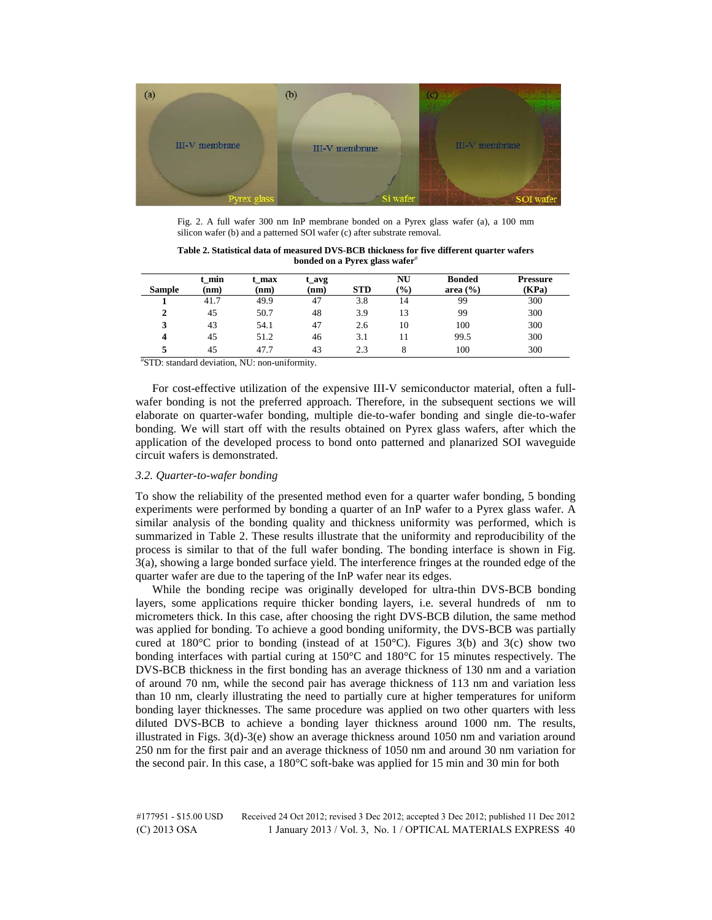

Fig. 2. A full wafer 300 nm InP membrane bonded on a Pyrex glass wafer (a), a 100 mm silicon wafer (b) and a patterned SOI wafer (c) after substrate removal.

**Table 2. Statistical data of measured DVS-BCB thickness for five different quarter wafers bonded on a Pyrex glass wafer***<sup>a</sup>*

| <b>Sample</b>           | t min<br>(nm) | t max<br>(nm) | t_avg<br>(nm) |            | NU<br>(%) | <b>Bonded</b><br>area $(\% )$ | <b>Pressure</b><br>(KPa) |
|-------------------------|---------------|---------------|---------------|------------|-----------|-------------------------------|--------------------------|
|                         |               |               |               | <b>STD</b> |           |                               |                          |
|                         | 41.7          | 49.9          | 47            | 3.8        | 14        | 99                            | 300                      |
| $\overline{\mathbf{2}}$ | 45            | 50.7          | 48            | 3.9        | 13        | 99                            | 300                      |
| 3                       | 43            | 54.1          | 47            | 2.6        | 10        | 100                           | 300                      |
| 4                       | 45            | 51.2          | 46            | 3.1        |           | 99.5                          | 300                      |
|                         | 45            | 47.7          | 43            | 2.3        |           | 100                           | 300                      |

*a* STD: standard deviation, NU: non-uniformity.

For cost-effective utilization of the expensive III-V semiconductor material, often a fullwafer bonding is not the preferred approach. Therefore, in the subsequent sections we will elaborate on quarter-wafer bonding, multiple die-to-wafer bonding and single die-to-wafer bonding. We will start off with the results obtained on Pyrex glass wafers, after which the application of the developed process to bond onto patterned and planarized SOI waveguide circuit wafers is demonstrated.

# *3.2. Quarter-to-wafer bonding*

To show the reliability of the presented method even for a quarter wafer bonding, 5 bonding experiments were performed by bonding a quarter of an InP wafer to a Pyrex glass wafer. A similar analysis of the bonding quality and thickness uniformity was performed, which is summarized in Table 2. These results illustrate that the uniformity and reproducibility of the process is similar to that of the full wafer bonding. The bonding interface is shown in Fig. 3(a), showing a large bonded surface yield. The interference fringes at the rounded edge of the quarter wafer are due to the tapering of the InP wafer near its edges.

While the bonding recipe was originally developed for ultra-thin DVS-BCB bonding layers, some applications require thicker bonding layers, i.e. several hundreds of nm to micrometers thick. In this case, after choosing the right DVS-BCB dilution, the same method was applied for bonding. To achieve a good bonding uniformity, the DVS-BCB was partially cured at 180°C prior to bonding (instead of at 150°C). Figures 3(b) and 3(c) show two bonding interfaces with partial curing at 150°C and 180°C for 15 minutes respectively. The DVS-BCB thickness in the first bonding has an average thickness of 130 nm and a variation of around 70 nm, while the second pair has average thickness of 113 nm and variation less than 10 nm, clearly illustrating the need to partially cure at higher temperatures for uniform bonding layer thicknesses. The same procedure was applied on two other quarters with less diluted DVS-BCB to achieve a bonding layer thickness around 1000 nm. The results, illustrated in Figs. 3(d)-3(e) show an average thickness around 1050 nm and variation around 250 nm for the first pair and an average thickness of 1050 nm and around 30 nm variation for the second pair. In this case, a 180°C soft-bake was applied for 15 min and 30 min for both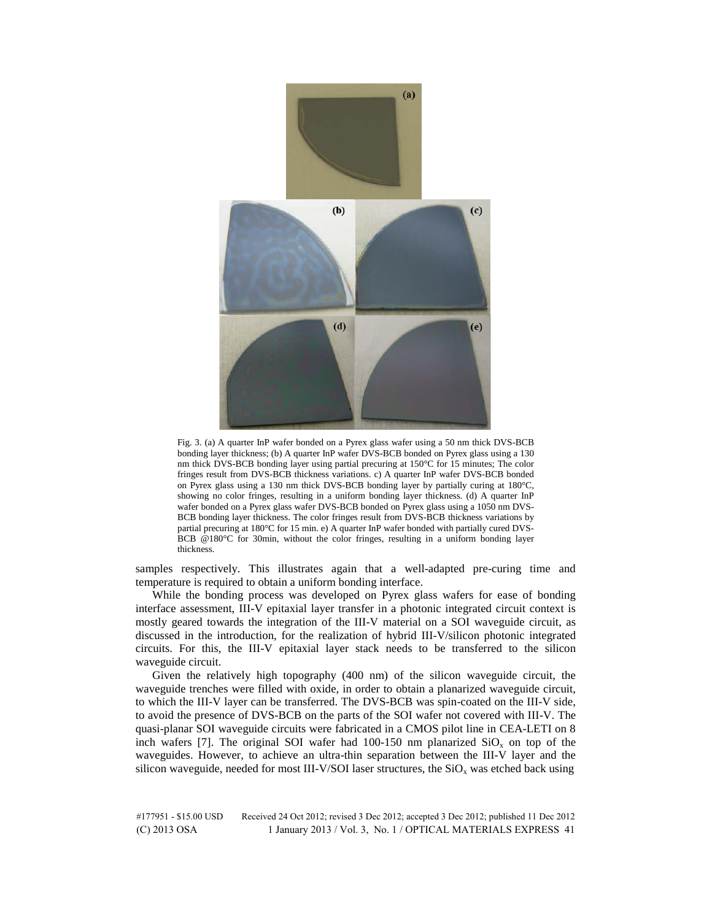

Fig. 3. (a) A quarter InP wafer bonded on a Pyrex glass wafer using a 50 nm thick DVS-BCB bonding layer thickness; (b) A quarter InP wafer DVS-BCB bonded on Pyrex glass using a 130 nm thick DVS-BCB bonding layer using partial precuring at 150°C for 15 minutes; The color fringes result from DVS-BCB thickness variations. c) A quarter InP wafer DVS-BCB bonded on Pyrex glass using a 130 nm thick DVS-BCB bonding layer by partially curing at 180°C, showing no color fringes, resulting in a uniform bonding layer thickness. (d) A quarter InP wafer bonded on a Pyrex glass wafer DVS-BCB bonded on Pyrex glass using a 1050 nm DVS-BCB bonding layer thickness. The color fringes result from DVS-BCB thickness variations by partial precuring at 180°C for 15 min. e) A quarter InP wafer bonded with partially cured DVS-BCB @180°C for 30min, without the color fringes, resulting in a uniform bonding layer thickness.

samples respectively. This illustrates again that a well-adapted pre-curing time and temperature is required to obtain a uniform bonding interface.

While the bonding process was developed on Pyrex glass wafers for ease of bonding interface assessment, III-V epitaxial layer transfer in a photonic integrated circuit context is mostly geared towards the integration of the III-V material on a SOI waveguide circuit, as discussed in the introduction, for the realization of hybrid III-V/silicon photonic integrated circuits. For this, the III-V epitaxial layer stack needs to be transferred to the silicon waveguide circuit.

Given the relatively high topography (400 nm) of the silicon waveguide circuit, the waveguide trenches were filled with oxide, in order to obtain a planarized waveguide circuit, to which the III-V layer can be transferred. The DVS-BCB was spin-coated on the III-V side, to avoid the presence of DVS-BCB on the parts of the SOI wafer not covered with III-V. The quasi-planar SOI waveguide circuits were fabricated in a CMOS pilot line in CEA-LETI on 8 inch wafers [7]. The original SOI wafer had  $100-150$  nm planarized  $SiO<sub>x</sub>$  on top of the waveguides. However, to achieve an ultra-thin separation between the III-V layer and the silicon waveguide, needed for most III-V/SOI laser structures, the  $SiO<sub>x</sub>$  was etched back using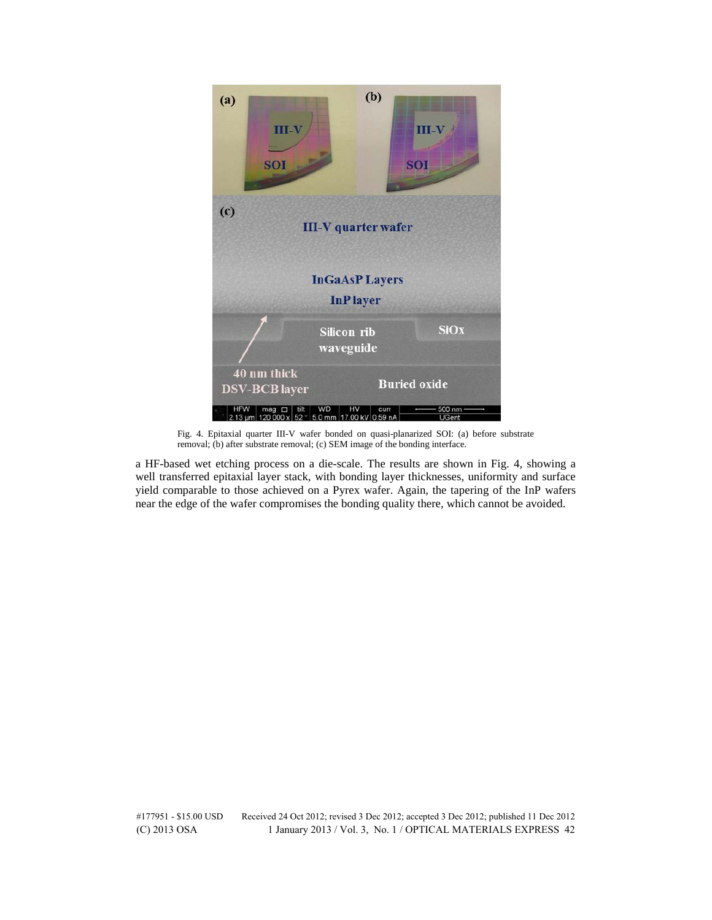

Fig. 4. Epitaxial quarter III-V wafer bonded on quasi-planarized SOI: (a) before substrate removal; (b) after substrate removal; (c) SEM image of the bonding interface.

a HF-based wet etching process on a die-scale. The results are shown in Fig. 4, showing a well transferred epitaxial layer stack, with bonding layer thicknesses, uniformity and surface yield comparable to those achieved on a Pyrex wafer. Again, the tapering of the InP wafers near the edge of the wafer compromises the bonding quality there, which cannot be avoided.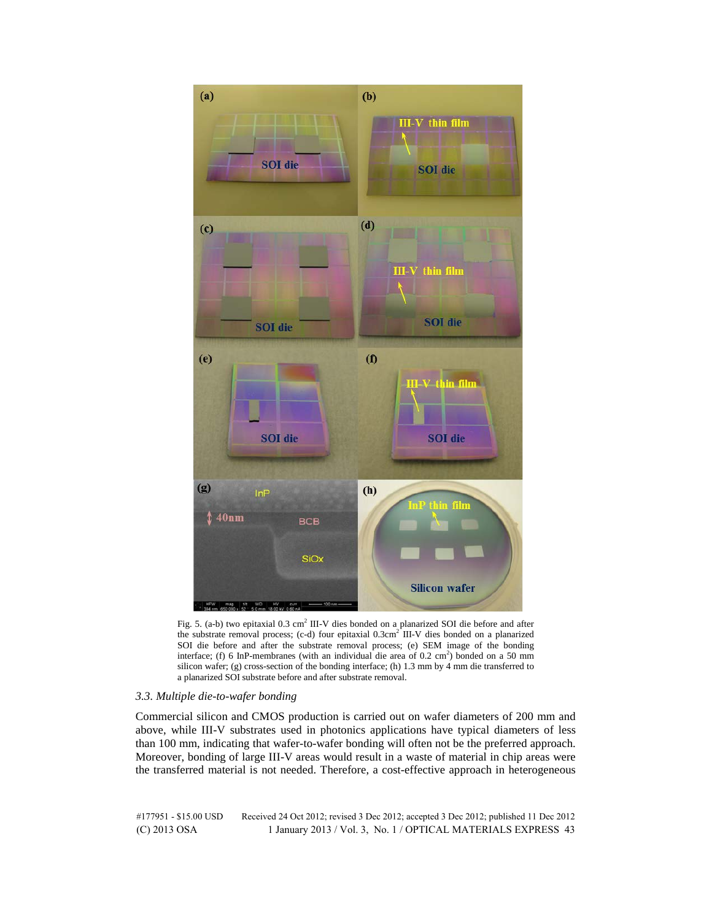

Fig. 5. (a-b) two epitaxial 0.3 cm<sup>2</sup> III-V dies bonded on a planarized SOI die before and after the substrate removal process; (c-d) four epitaxial  $0.3cm<sup>2</sup>$  III-V dies bonded on a planarized SOI die before and after the substrate removal process; (e) SEM image of the bonding interface; (f) 6 InP-membranes (with an individual die area of  $0.2 \text{ cm}^2$ ) bonded on a 50 mm silicon wafer; (g) cross-section of the bonding interface; (h) 1.3 mm by 4 mm die transferred to a planarized SOI substrate before and after substrate removal.

# *3.3. Multiple die-to-wafer bonding*

Commercial silicon and CMOS production is carried out on wafer diameters of 200 mm and above, while III-V substrates used in photonics applications have typical diameters of less than 100 mm, indicating that wafer-to-wafer bonding will often not be the preferred approach. Moreover, bonding of large III-V areas would result in a waste of material in chip areas were the transferred material is not needed. Therefore, a cost-effective approach in heterogeneous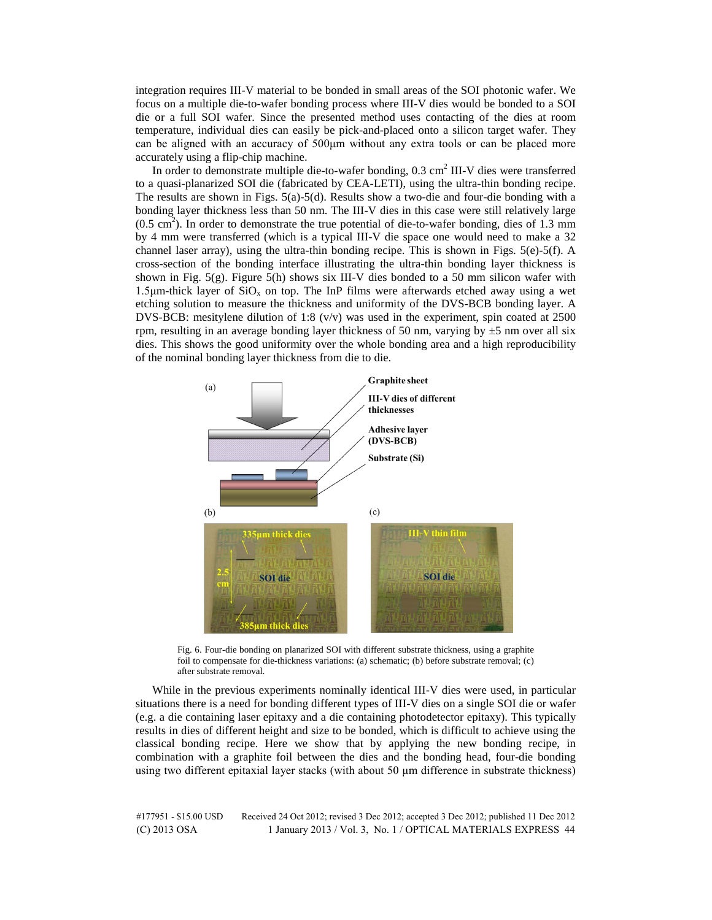integration requires III-V material to be bonded in small areas of the SOI photonic wafer. We focus on a multiple die-to-wafer bonding process where III-V dies would be bonded to a SOI die or a full SOI wafer. Since the presented method uses contacting of the dies at room temperature, individual dies can easily be pick-and-placed onto a silicon target wafer. They can be aligned with an accuracy of 500μm without any extra tools or can be placed more accurately using a flip-chip machine.

In order to demonstrate multiple die-to-wafer bonding,  $0.3 \text{ cm}^2$  III-V dies were transferred to a quasi-planarized SOI die (fabricated by CEA-LETI), using the ultra-thin bonding recipe. The results are shown in Figs. 5(a)-5(d). Results show a two-die and four-die bonding with a bonding layer thickness less than 50 nm. The III-V dies in this case were still relatively large  $(0.5 \text{ cm}^2)$ . In order to demonstrate the true potential of die-to-wafer bonding, dies of 1.3 mm by 4 mm were transferred (which is a typical III-V die space one would need to make a 32 channel laser array), using the ultra-thin bonding recipe. This is shown in Figs. 5(e)-5(f). A cross-section of the bonding interface illustrating the ultra-thin bonding layer thickness is shown in Fig. 5(g). Figure 5(h) shows six III-V dies bonded to a 50 mm silicon wafer with 1.5μm-thick layer of  $SiO<sub>x</sub>$  on top. The InP films were afterwards etched away using a wet etching solution to measure the thickness and uniformity of the DVS-BCB bonding layer. A DVS-BCB: mesitylene dilution of 1:8  $(v/v)$  was used in the experiment, spin coated at 2500 rpm, resulting in an average bonding layer thickness of 50 nm, varying by  $\pm$ 5 nm over all six dies. This shows the good uniformity over the whole bonding area and a high reproducibility of the nominal bonding layer thickness from die to die.



Fig. 6. Four-die bonding on planarized SOI with different substrate thickness, using a graphite foil to compensate for die-thickness variations: (a) schematic; (b) before substrate removal; (c) after substrate removal.

While in the previous experiments nominally identical III-V dies were used, in particular situations there is a need for bonding different types of III-V dies on a single SOI die or wafer (e.g. a die containing laser epitaxy and a die containing photodetector epitaxy). This typically results in dies of different height and size to be bonded, which is difficult to achieve using the classical bonding recipe. Here we show that by applying the new bonding recipe, in combination with a graphite foil between the dies and the bonding head, four-die bonding using two different epitaxial layer stacks (with about 50 μm difference in substrate thickness)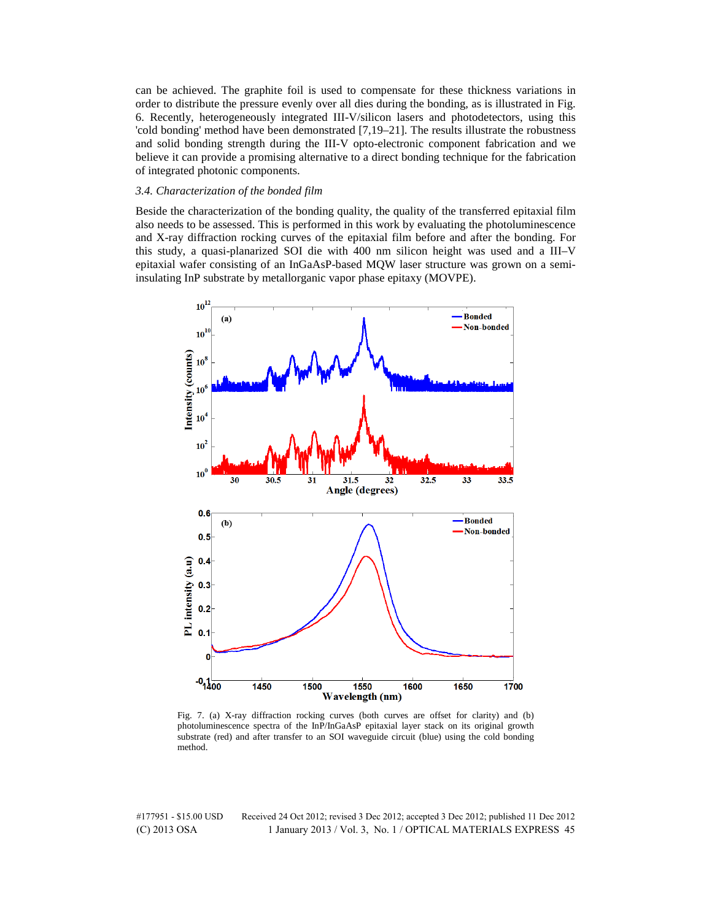can be achieved. The graphite foil is used to compensate for these thickness variations in order to distribute the pressure evenly over all dies during the bonding, as is illustrated in Fig. 6. Recently, heterogeneously integrated III-V/silicon lasers and photodetectors, using this 'cold bonding' method have been demonstrated [7,19–21]. The results illustrate the robustness and solid bonding strength during the III-V opto-electronic component fabrication and we believe it can provide a promising alternative to a direct bonding technique for the fabrication of integrated photonic components.

# *3.4. Characterization of the bonded film*

Beside the characterization of the bonding quality, the quality of the transferred epitaxial film also needs to be assessed. This is performed in this work by evaluating the photoluminescence and X-ray diffraction rocking curves of the epitaxial film before and after the bonding. For this study, a quasi-planarized SOI die with 400 nm silicon height was used and a III–V epitaxial wafer consisting of an InGaAsP-based MQW laser structure was grown on a semiinsulating InP substrate by metallorganic vapor phase epitaxy (MOVPE).



Fig. 7. (a) X-ray diffraction rocking curves (both curves are offset for clarity) and (b) photoluminescence spectra of the InP/InGaAsP epitaxial layer stack on its original growth substrate (red) and after transfer to an SOI waveguide circuit (blue) using the cold bonding method.